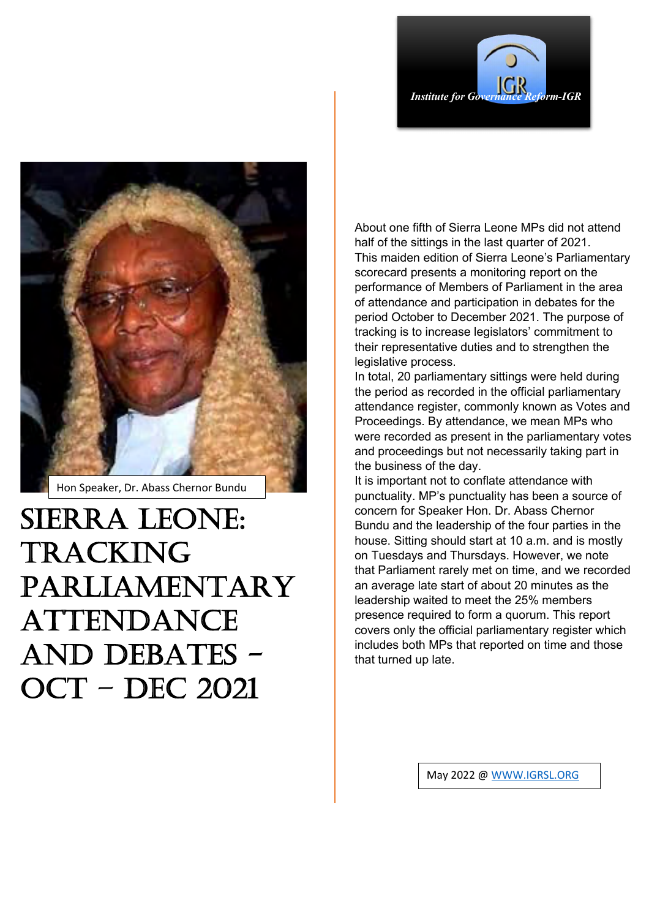



Hon Speaker, Dr. Abass Chernor Bundu

SIERRA LEONE: TRACKING PARLIAMENTARY ATTENDANCE AND DEBATES - OCT – DEC 2021

About one fifth of Sierra Leone MPs did not attend half of the sittings in the last quarter of 2021. This maiden edition of Sierra Leone's Parliamentary scorecard presents a monitoring report on the performance of Members of Parliament in the area of attendance and participation in debates for the period October to December 2021. The purpose of tracking is to increase legislators' commitment to their representative duties and to strengthen the legislative process.

In total, 20 parliamentary sittings were held during the period as recorded in the official parliamentary attendance register, commonly known as Votes and Proceedings. By attendance, we mean MPs who were recorded as present in the parliamentary votes and proceedings but not necessarily taking part in the business of the day.

It is important not to conflate attendance with punctuality. MP's punctuality has been a source of concern for Speaker Hon. Dr. Abass Chernor Bundu and the leadership of the four parties in the house. Sitting should start at 10 a.m. and is mostly on Tuesdays and Thursdays. However, we note that Parliament rarely met on time, and we recorded an average late start of about 20 minutes as the leadership waited to meet the 25% members presence required to form a quorum. This report covers only the official parliamentary register which includes both MPs that reported on time and those that turned up late.

May 2022 @ WWW.IGRSL.ORG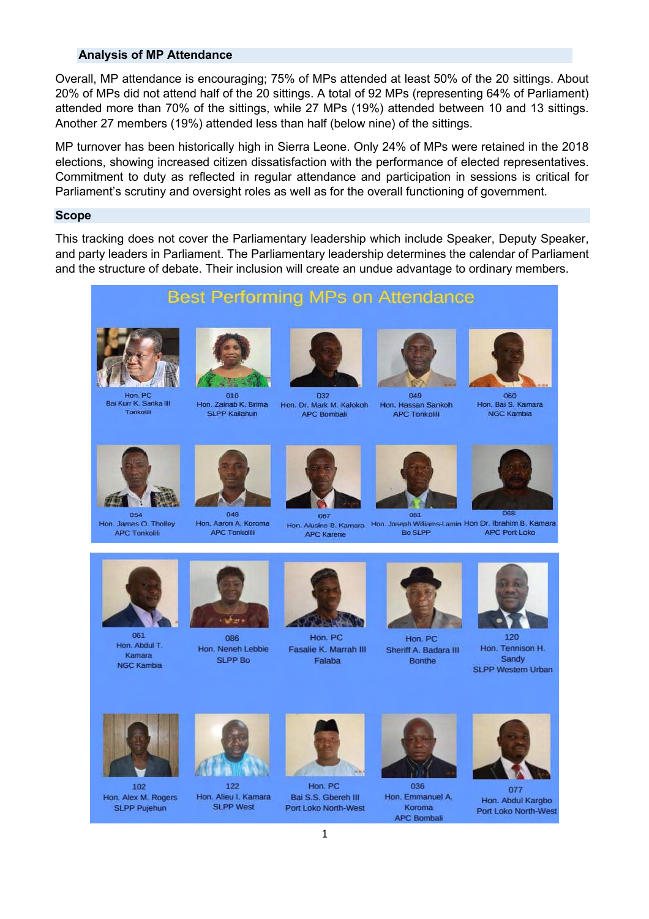### **Analysis of MP Attendance**

Overall. MP attendance is encouraging: 75% of MPs attended at least 50% of the 20 sittings. About 20% of MPs did not attend half of the 20 sittings. A total of 92 MPs (representing 64% of Parliament) attended more than 70% of the sittings, while 27 MPs (19%) attended between 10 and 13 sittings. Another 27 members (19%) attended less than half (below nine) of the sittings.

MP turnover has been historically high in Sierra Leone. Only 24% of MPs were retained in the 2018 elections, showing increased citizen dissatisfaction with the performance of elected representatives. Commitment to duty as reflected in regular attendance and participation in sessions is critical for Parliament's scrutiny and oversight roles as well as for the overall functioning of government.

#### **Scope**

This tracking does not cover the Parliamentary leadership which include Speaker, Deputy Speaker, and party leaders in Parliament. The Parliamentary leadership determines the calendar of Parliament and the structure of debate. Their inclusion will create an undue advantage to ordinary members.

# **Best Performing MPs on Attendance**



**Bai Kurr K Sanka III** Tonkolili



010 Hon, Zainab K. Brima SLPP Kailahun



032 Hon. Dr. Mark M. Kalokoh **APC Bombali** 



049 Hon, Hassan Sankoh **APC Tonkolili** 



Hon. Bai S. Kamara **NGC Kambia** 



Hon. James O. Tholley **APC Tonkolili** 



Hon. Aaron A. Koroma **APC Tonkolili** 



**APC Karene** 



Hon. Alusine B. Kamara Hon. Joseph Williams-Lamin Hon Dr. Ibrahim B. Kamara **Bo SLPP APC Port Loko** 





120 Hon, Tennison H. Sandy **SLPP Western Urban** 



Hon, Abdul T. Kamara **NGC Kambia** 



086 Hon. Neneh Lebbie SLPP Bo



Hon, PC Fasalie K. Marrah III Falaba



Hon PC

Sheriff A. Badara III

Bonthe

036 Hon. Emmanuel A. Koroma **APC Bombali** 



077 Hon, Abdul Karobo Port Loko North-West



102 Hon. Alex M. Rogers **SLPP Pujehun** 



122 Hon. Alieu I. Kamara **SLPP West** 

Hon, PC

**Bai S.S. Ghereh III** 

Port Loko North-West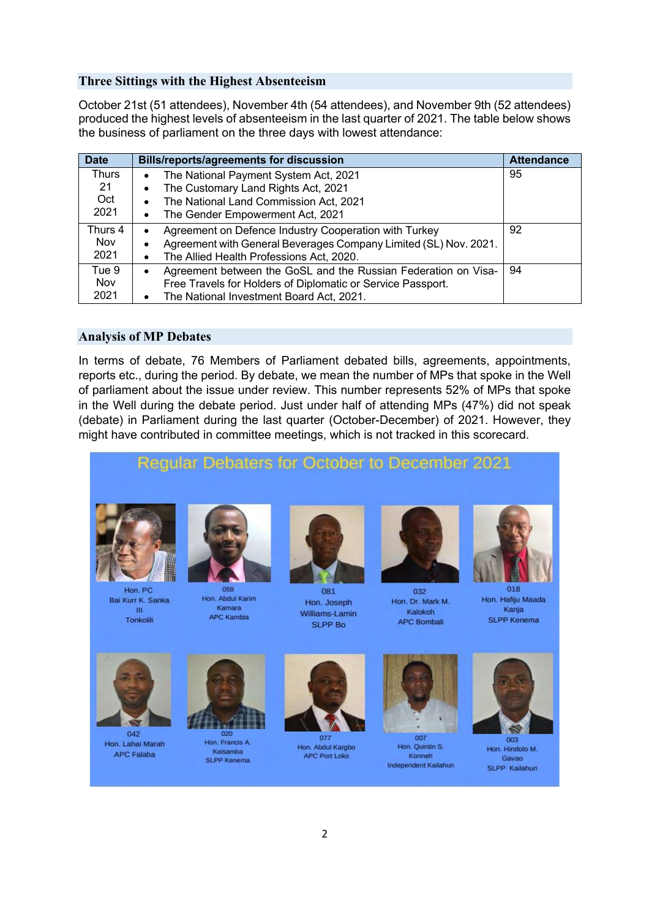# **Three Sittings with the Highest Absenteeism**

October 21st (51 attendees), November 4th (54 attendees), and November 9th (52 attendees) produced the highest levels of absenteeism in the last quarter of 2021. The table below shows the business of parliament on the three days with lowest attendance:

| <b>Date</b> | <b>Bills/reports/agreements for discussion</b>                              | <b>Attendance</b> |
|-------------|-----------------------------------------------------------------------------|-------------------|
| Thurs       | The National Payment System Act, 2021<br>٠                                  | 95                |
| 21          | The Customary Land Rights Act, 2021                                         |                   |
| Oct         | The National Land Commission Act, 2021                                      |                   |
| 2021        | The Gender Empowerment Act, 2021<br>٠                                       |                   |
| Thurs 4     | Agreement on Defence Industry Cooperation with Turkey                       | 92                |
| <b>Nov</b>  | Agreement with General Beverages Company Limited (SL) Nov. 2021.<br>٠       |                   |
| 2021        | The Allied Health Professions Act, 2020.                                    |                   |
| Tue 9       | Agreement between the GoSL and the Russian Federation on Visa-<br>$\bullet$ | 94                |
| <b>Nov</b>  | Free Travels for Holders of Diplomatic or Service Passport.                 |                   |
| 2021        | The National Investment Board Act, 2021.                                    |                   |

## **Analysis of MP Debates**

In terms of debate, 76 Members of Parliament debated bills, agreements, appointments, reports etc., during the period. By debate, we mean the number of MPs that spoke in the Well of parliament about the issue under review. This number represents 52% of MPs that spoke in the Well during the debate period. Just under half of attending MPs (47%) did not speak (debate) in Parliament during the last quarter (October-December) of 2021. However, they might have contributed in committee meetings, which is not tracked in this scorecard.

#### Regular Debaters for October to December 2021



Hon PC Bai Kurr K. Sanka  $\mathbf{m}$ Tonkolili



Hon, Abdul Karim Kamara **APC Kambia** 



081 Hon. Joseph Williams-Lamin **SLPP Bo** 



032 Hon. Dr. Mark M. Kalokoh **APC Bombali** 



018 Hon, Hafiju Maada Kanja **SLPP Kenema** 



 $042$ Hon. Lahai Marah **APC Falaba** 



Hon, Francis A. Kaisamba **SLPP Kenema** 



Hon. Abdul Kargbo APC Port Loko



Hon. Quintin S. Konneh Independent Kailahun



Hon. Hindolo M. Gayao SLPP Kailahun